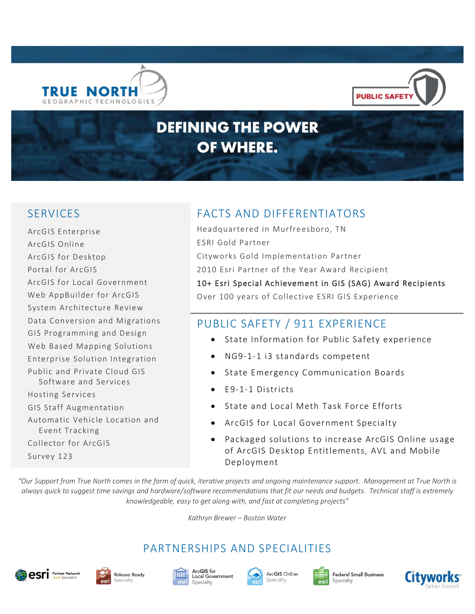



# **DEFINING THE POWER** OF WHERE.

ArcGIS Enterprise ArcGIS Online ArcGIS for Desktop Portal for ArcGIS ArcGIS for Local Government Web AppBuilder for ArcGIS System Architecture Review Data Conversion and Migrations GIS Programming and Design Web Based Mapping Solutions Enterprise Solution Integration Public and Private Cloud GIS Software and Services Hosting Services GIS Staff Augmentation Automatic Vehicle Location and Event Tracking Collector for ArcGIS Survey 123

# SERVICES FACTS AND DIFFERENTIATORS

Headquartered in Murfreesboro, TN ESRI Gold Partner Cityworks Gold Implementation Partner 2010 Esri Partner of the Year Award Recipient 10+ Esri Special Achievement in GIS (SAG) Award Recipients Over 100 years of Collective ESRI GIS Experience

# PUBLIC SAFETY / 911 EXPERIENCE

- State Information for Public Safety experience
- NG9-1-1 i3 standards competent
- State Emergency Communication Boards
- E9-1-1 Districts
- State and Local Meth Task Force Efforts
- ArcGIS for Local Government Specialty
- Packaged solutions to increase ArcGIS Online usage of ArcGIS Desktop Entitlements, AVL and Mobile Deployment

*"Our Support from True North comes in the form of quick, iterative projects and ongoing maintenance support. Management at True North is always quick to suggest time savings and hardware/software recommendations that fit our needs and budgets. Technical staff is extremely knowledgeable, easy to get along with, and fast at completing projects"*

*Kathryn Brewer – Boston Water*

# PARTNERSHIPS AND SPECIALITIES